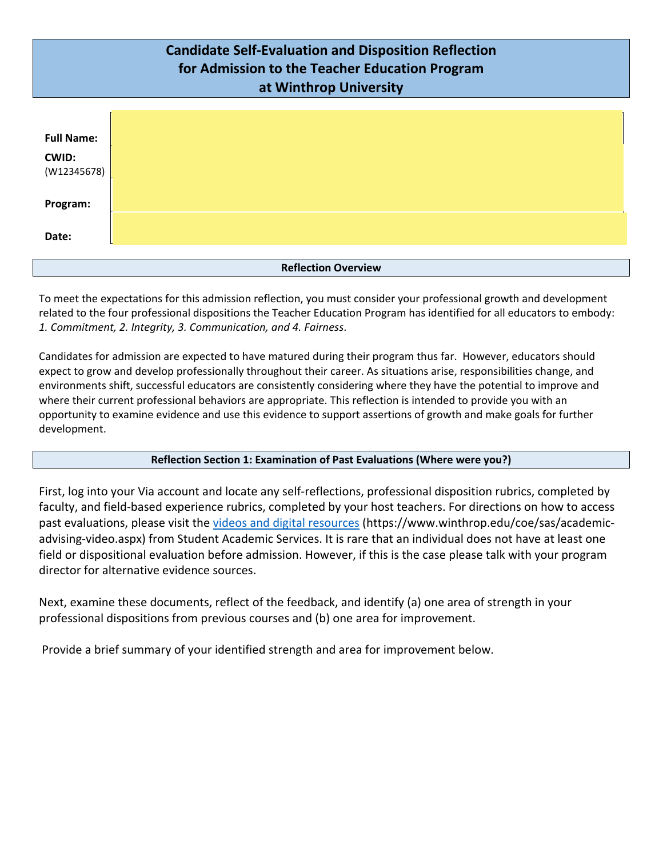|                            | <b>Candidate Self-Evaluation and Disposition Reflection</b><br>for Admission to the Teacher Education Program<br>at Winthrop University |  |
|----------------------------|-----------------------------------------------------------------------------------------------------------------------------------------|--|
| <b>Full Name:</b>          |                                                                                                                                         |  |
| CWID:                      |                                                                                                                                         |  |
| (W12345678)                |                                                                                                                                         |  |
| Program:                   |                                                                                                                                         |  |
| Date:                      |                                                                                                                                         |  |
| <b>Reflection Overview</b> |                                                                                                                                         |  |

To meet the expectations for this admission reflection, you must consider your professional growth and development related to the four professional dispositions the Teacher Education Program has identified for all educators to embody: *1. Commitment, 2. Integrity, 3. Communication, and 4. Fairness*.

Candidates for admission are expected to have matured during their program thus far. However, educators should expect to grow and develop professionally throughout their career. As situations arise, responsibilities change, and environments shift, successful educators are consistently considering where they have the potential to improve and where their current professional behaviors are appropriate. This reflection is intended to provide you with an opportunity to examine evidence and use this evidence to support assertions of growth and make goals for further development.

## **Reflection Section 1: Examination of Past Evaluations (Where were you?)**

First, log into your Via account and locate any self-reflections, professional disposition rubrics, completed by faculty, and field-based experience rubrics, completed by your host teachers. For directions on how to access past evaluations, please visit th[e videos and digital resources](https://www.winthrop.edu/coe/sas/academic-advising-video.aspx) (https://www.winthrop.edu/coe/sas/academicadvising-video.aspx) from Student Academic Services. It is rare that an individual does not have at least one field or dispositional evaluation before admission. However, if this is the case please talk with your program director for alternative evidence sources.

Next, examine these documents, reflect of the feedback, and identify (a) one area of strength in your professional dispositions from previous courses and (b) one area for improvement.

Provide a brief summary of your identified strength and area for improvement below.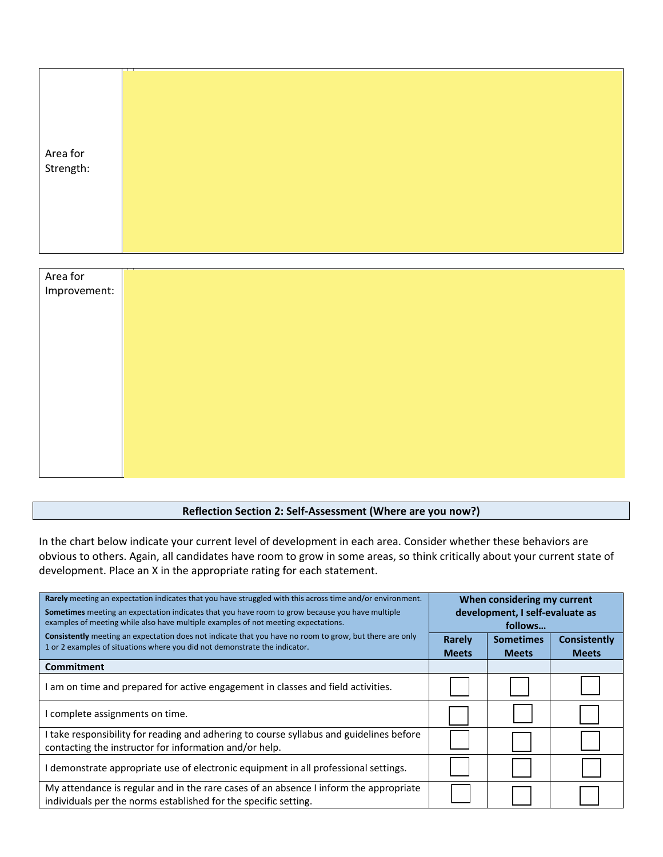| Area for<br>Improvement: |  |
|--------------------------|--|
|                          |  |
|                          |  |
|                          |  |
|                          |  |
|                          |  |
|                          |  |
|                          |  |
|                          |  |
|                          |  |
|                          |  |
|                          |  |
|                          |  |

## **Reflection Section 2: Self-Assessment (Where are you now?)**

In the chart below indicate your current level of development in each area. Consider whether these behaviors are obvious to others. Again, all candidates have room to grow in some areas, so think critically about your current state of development. Place an X in the appropriate rating for each statement.

| Rarely meeting an expectation indicates that you have struggled with this across time and/or environment.<br><b>Sometimes</b> meeting an expectation indicates that you have room to grow because you have multiple<br>examples of meeting while also have multiple examples of not meeting expectations. |                        | When considering my current<br>development, I self-evaluate as<br>follows |                              |  |
|-----------------------------------------------------------------------------------------------------------------------------------------------------------------------------------------------------------------------------------------------------------------------------------------------------------|------------------------|---------------------------------------------------------------------------|------------------------------|--|
| <b>Consistently</b> meeting an expectation does not indicate that you have no room to grow, but there are only<br>1 or 2 examples of situations where you did not demonstrate the indicator.                                                                                                              | Rarely<br><b>Meets</b> | <b>Sometimes</b><br><b>Meets</b>                                          | Consistently<br><b>Meets</b> |  |
| Commitment                                                                                                                                                                                                                                                                                                |                        |                                                                           |                              |  |
| am on time and prepared for active engagement in classes and field activities.                                                                                                                                                                                                                            |                        |                                                                           |                              |  |
| I complete assignments on time.                                                                                                                                                                                                                                                                           |                        |                                                                           |                              |  |
| I take responsibility for reading and adhering to course syllabus and guidelines before<br>contacting the instructor for information and/or help.                                                                                                                                                         |                        |                                                                           |                              |  |
| I demonstrate appropriate use of electronic equipment in all professional settings.                                                                                                                                                                                                                       |                        |                                                                           |                              |  |
| My attendance is regular and in the rare cases of an absence I inform the appropriate<br>individuals per the norms established for the specific setting.                                                                                                                                                  |                        |                                                                           |                              |  |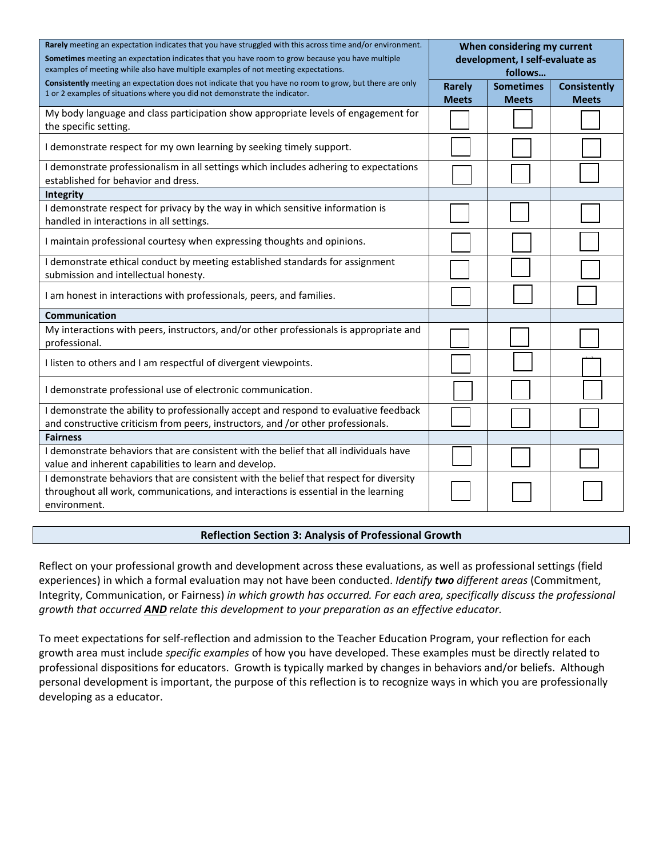| Rarely meeting an expectation indicates that you have struggled with this across time and/or environment.<br>Sometimes meeting an expectation indicates that you have room to grow because you have multiple<br>examples of meeting while also have multiple examples of not meeting expectations. |                        | When considering my current<br>development, I self-evaluate as<br>follows |                                     |  |
|----------------------------------------------------------------------------------------------------------------------------------------------------------------------------------------------------------------------------------------------------------------------------------------------------|------------------------|---------------------------------------------------------------------------|-------------------------------------|--|
| Consistently meeting an expectation does not indicate that you have no room to grow, but there are only<br>1 or 2 examples of situations where you did not demonstrate the indicator.                                                                                                              | Rarely<br><b>Meets</b> | <b>Sometimes</b><br><b>Meets</b>                                          | <b>Consistently</b><br><b>Meets</b> |  |
| My body language and class participation show appropriate levels of engagement for<br>the specific setting.                                                                                                                                                                                        |                        |                                                                           |                                     |  |
| I demonstrate respect for my own learning by seeking timely support.                                                                                                                                                                                                                               |                        |                                                                           |                                     |  |
| I demonstrate professionalism in all settings which includes adhering to expectations<br>established for behavior and dress.                                                                                                                                                                       |                        |                                                                           |                                     |  |
| Integrity                                                                                                                                                                                                                                                                                          |                        |                                                                           |                                     |  |
| I demonstrate respect for privacy by the way in which sensitive information is<br>handled in interactions in all settings.                                                                                                                                                                         |                        |                                                                           |                                     |  |
| I maintain professional courtesy when expressing thoughts and opinions.                                                                                                                                                                                                                            |                        |                                                                           |                                     |  |
| I demonstrate ethical conduct by meeting established standards for assignment<br>submission and intellectual honesty.                                                                                                                                                                              |                        |                                                                           |                                     |  |
| I am honest in interactions with professionals, peers, and families.                                                                                                                                                                                                                               |                        |                                                                           |                                     |  |
| Communication                                                                                                                                                                                                                                                                                      |                        |                                                                           |                                     |  |
| My interactions with peers, instructors, and/or other professionals is appropriate and<br>professional.                                                                                                                                                                                            |                        |                                                                           |                                     |  |
| I listen to others and I am respectful of divergent viewpoints.                                                                                                                                                                                                                                    |                        |                                                                           |                                     |  |
| I demonstrate professional use of electronic communication.                                                                                                                                                                                                                                        |                        |                                                                           |                                     |  |
| I demonstrate the ability to professionally accept and respond to evaluative feedback<br>and constructive criticism from peers, instructors, and /or other professionals.                                                                                                                          |                        |                                                                           |                                     |  |
| <b>Fairness</b>                                                                                                                                                                                                                                                                                    |                        |                                                                           |                                     |  |
| I demonstrate behaviors that are consistent with the belief that all individuals have<br>value and inherent capabilities to learn and develop.                                                                                                                                                     |                        |                                                                           |                                     |  |
| I demonstrate behaviors that are consistent with the belief that respect for diversity<br>throughout all work, communications, and interactions is essential in the learning<br>environment.                                                                                                       |                        |                                                                           |                                     |  |

## **Reflection Section 3: Analysis of Professional Growth**

Reflect on your professional growth and development across these evaluations, as well as professional settings (field experiences) in which a formal evaluation may not have been conducted. *Identify two different areas* (Commitment, Integrity, Communication, or Fairness) *in which growth has occurred. For each area, specifically discuss the professional growth that occurred AND relate this development to your preparation as an effective educator.* 

To meet expectations for self-reflection and admission to the Teacher Education Program, your reflection for each growth area must include *specific examples* of how you have developed. These examples must be directly related to professional dispositions for educators. Growth is typically marked by changes in behaviors and/or beliefs. Although personal development is important, the purpose of this reflection is to recognize ways in which you are professionally developing as a educator.